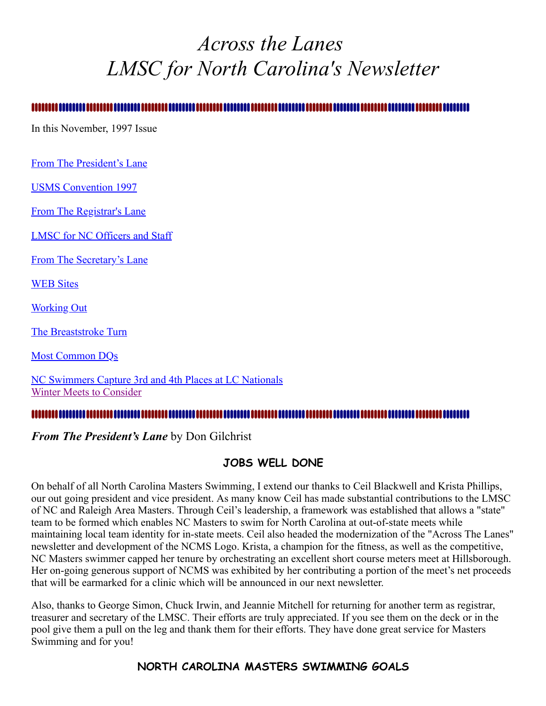# <span id="page-0-1"></span>*Across the Lanes LMSC for North Carolina's Newsletter*

In this November, 1997 Issue

[From The President's Lane](#page-0-0)

[USMS Convention 1997](#page-1-0)

[From The Registrar's Lane](#page-2-0)

[LMSC for NC Officers and Staff](#page-3-0)

[From The Secretary's Lane](#page-3-1)

**WEB** Sites

Working Out

[The Breaststroke Turn](#page-5-0)

[Most Common DQs](#page-6-0)

[NC Swimmers Capture 3rd and 4th Places at LC Nationals](#page-7-0) [Winter Meets to Consider](#page-8-0)

#### 

#### <span id="page-0-0"></span>*From The President's Lane* by Don Gilchrist

#### **JOBS WELL DONE**

On behalf of all North Carolina Masters Swimming, I extend our thanks to Ceil Blackwell and Krista Phillips, our out going president and vice president. As many know Ceil has made substantial contributions to the LMSC of NC and Raleigh Area Masters. Through Ceil's leadership, a framework was established that allows a "state" team to be formed which enables NC Masters to swim for North Carolina at out-of-state meets while maintaining local team identity for in-state meets. Ceil also headed the modernization of the "Across The Lanes" newsletter and development of the NCMS Logo. Krista, a champion for the fitness, as well as the competitive, NC Masters swimmer capped her tenure by orchestrating an excellent short course meters meet at Hillsborough. Her on-going generous support of NCMS was exhibited by her contributing a portion of the meet's net proceeds that will be earmarked for a clinic which will be announced in our next newsletter.

Also, thanks to George Simon, Chuck Irwin, and Jeannie Mitchell for returning for another term as registrar, treasurer and secretary of the LMSC. Their efforts are truly appreciated. If you see them on the deck or in the pool give them a pull on the leg and thank them for their efforts. They have done great service for Masters Swimming and for you!

#### **NORTH CAROLINA MASTERS SWIMMING GOALS**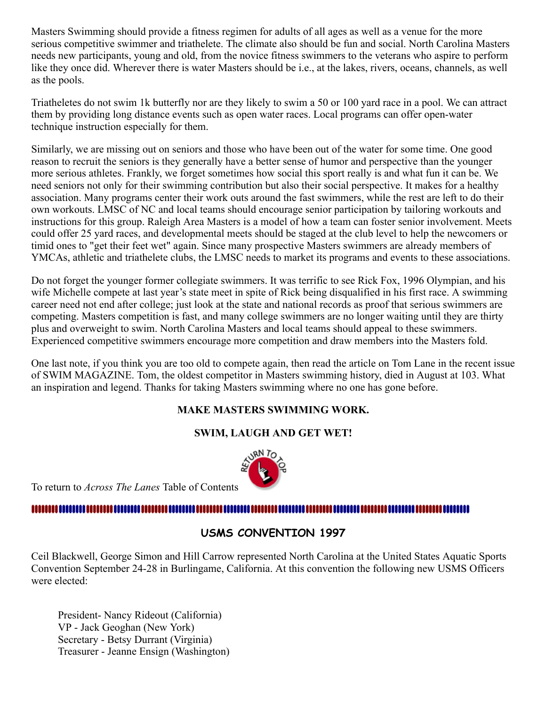Masters Swimming should provide a fitness regimen for adults of all ages as well as a venue for the more serious competitive swimmer and triathelete. The climate also should be fun and social. North Carolina Masters needs new participants, young and old, from the novice fitness swimmers to the veterans who aspire to perform like they once did. Wherever there is water Masters should be i.e., at the lakes, rivers, oceans, channels, as well as the pools.

Triatheletes do not swim 1k butterfly nor are they likely to swim a 50 or 100 yard race in a pool. We can attract them by providing long distance events such as open water races. Local programs can offer open-water technique instruction especially for them.

Similarly, we are missing out on seniors and those who have been out of the water for some time. One good reason to recruit the seniors is they generally have a better sense of humor and perspective than the younger more serious athletes. Frankly, we forget sometimes how social this sport really is and what fun it can be. We need seniors not only for their swimming contribution but also their social perspective. It makes for a healthy association. Many programs center their work outs around the fast swimmers, while the rest are left to do their own workouts. LMSC of NC and local teams should encourage senior participation by tailoring workouts and instructions for this group. Raleigh Area Masters is a model of how a team can foster senior involvement. Meets could offer 25 yard races, and developmental meets should be staged at the club level to help the newcomers or timid ones to "get their feet wet" again. Since many prospective Masters swimmers are already members of YMCAs, athletic and triathelete clubs, the LMSC needs to market its programs and events to these associations.

Do not forget the younger former collegiate swimmers. It was terrific to see Rick Fox, 1996 Olympian, and his wife Michelle compete at last year's state meet in spite of Rick being disqualified in his first race. A swimming career need not end after college; just look at the state and national records as proof that serious swimmers are competing. Masters competition is fast, and many college swimmers are no longer waiting until they are thirty plus and overweight to swim. North Carolina Masters and local teams should appeal to these swimmers. Experienced competitive swimmers encourage more competition and draw members into the Masters fold.

One last note, if you think you are too old to compete again, then read the article on Tom Lane in the recent issue of SWIM MAGAZINE. Tom, the oldest competitor in Masters swimming history, died in August at 103. What an inspiration and legend. Thanks for taking Masters swimming where no one has gone before.

#### **MAKE MASTERS SWIMMING WORK.**

#### **SWIM, LAUGH AND GET WET!**



To return to *Across The Lanes* Table of Contents

#### 

### <span id="page-1-0"></span>**USMS CONVENTION 1997**

Ceil Blackwell, George Simon and Hill Carrow represented North Carolina at the United States Aquatic Sports Convention September 24-28 in Burlingame, California. At this convention the following new USMS Officers were elected:

President- Nancy Rideout (California) VP - Jack Geoghan (New York) Secretary - Betsy Durrant (Virginia) Treasurer - Jeanne Ensign (Washington)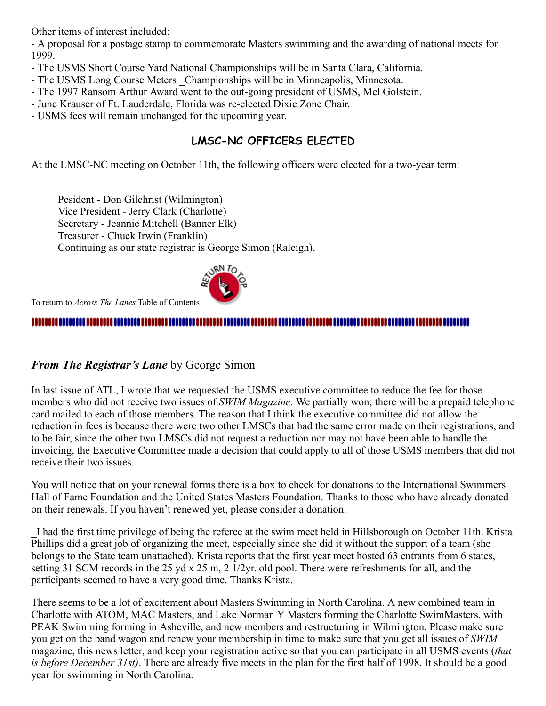Other items of interest included:

- A proposal for a postage stamp to commemorate Masters swimming and the awarding of national meets for 1999.

- The USMS Short Course Yard National Championships will be in Santa Clara, California.
- The USMS Long Course Meters \_Championships will be in Minneapolis, Minnesota.
- The 1997 Ransom Arthur Award went to the out-going president of USMS, Mel Golstein.
- June Krauser of Ft. Lauderdale, Florida was re-elected Dixie Zone Chair.
- USMS fees will remain unchanged for the upcoming year.

## **LMSC-NC OFFICERS ELECTED**

At the LMSC-NC meeting on October 11th, the following officers were elected for a two-year term:

Pesident - Don Gilchrist (Wilmington) Vice President - Jerry Clark (Charlotte) Secretary - Jeannie Mitchell (Banner Elk) Treasurer - Chuck Irwin (Franklin) Continuing as our state registrar is George Simon (Raleigh).



To return to *Across The Lanes* Table of Contents

#### 

#### <span id="page-2-0"></span>*From The Registrar's Lane* by George Simon

In last issue of ATL, I wrote that we requested the USMS executive committee to reduce the fee for those members who did not receive two issues of *SWIM Magazine.* We partially won; there will be a prepaid telephone card mailed to each of those members. The reason that I think the executive committee did not allow the reduction in fees is because there were two other LMSCs that had the same error made on their registrations, and to be fair, since the other two LMSCs did not request a reduction nor may not have been able to handle the invoicing, the Executive Committee made a decision that could apply to all of those USMS members that did not receive their two issues.

You will notice that on your renewal forms there is a box to check for donations to the International Swimmers Hall of Fame Foundation and the United States Masters Foundation. Thanks to those who have already donated on their renewals. If you haven't renewed yet, please consider a donation.

\_I had the first time privilege of being the referee at the swim meet held in Hillsborough on October 11th. Krista Phillips did a great job of organizing the meet, especially since she did it without the support of a team (she belongs to the State team unattached). Krista reports that the first year meet hosted 63 entrants from 6 states, setting 31 SCM records in the 25 yd x 25 m, 2 1/2yr. old pool. There were refreshments for all, and the participants seemed to have a very good time. Thanks Krista.

There seems to be a lot of excitement about Masters Swimming in North Carolina. A new combined team in Charlotte with ATOM, MAC Masters, and Lake Norman Y Masters forming the Charlotte SwimMasters, with PEAK Swimming forming in Asheville, and new members and restructuring in Wilmington. Please make sure you get on the band wagon and renew your membership in time to make sure that you get all issues of *SWIM* magazine, this news letter, and keep your registration active so that you can participate in all USMS events (*that is before December 31st)*. There are already five meets in the plan for the first half of 1998. It should be a good year for swimming in North Carolina.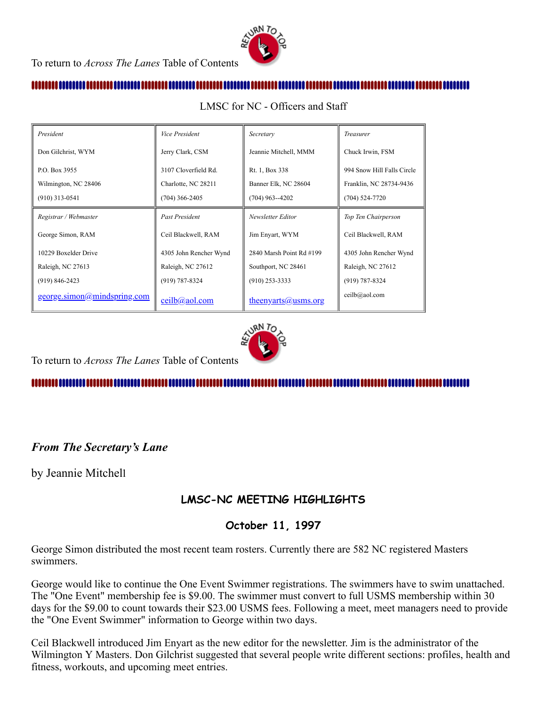

#### 

| President                   | Vice President         | Secretary                | <i>Treasurer</i>           |
|-----------------------------|------------------------|--------------------------|----------------------------|
| Don Gilchrist, WYM          | Jerry Clark, CSM       | Jeannie Mitchell, MMM    | Chuck Irwin, FSM           |
| P.O. Box 3955               | 3107 Cloverfield Rd.   | Rt. 1, Box 338           | 994 Snow Hill Falls Circle |
| Wilmington, NC 28406        | Charlotte, NC 28211    | Banner Elk, NC 28604     | Franklin, NC 28734-9436    |
| $(910)$ 313-0541            | $(704)$ 366-2405       | $(704)$ 963--4202        | $(704)$ 524-7720           |
| Registrar / Webmaster       | <b>Past President</b>  | Newsletter Editor        | Top Ten Chairperson        |
| George Simon, RAM           | Ceil Blackwell, RAM    | Jim Enyart, WYM          | Ceil Blackwell, RAM        |
| 10229 Boxelder Drive        | 4305 John Rencher Wynd | 2840 Marsh Point Rd #199 | 4305 John Rencher Wynd     |
| Raleigh, NC 27613           | Raleigh, NC 27612      | Southport, NC 28461      | Raleigh, NC 27612          |
| $(919) 846 - 2423$          | $(919) 787 - 8324$     | $(910)$ 253-3333         | $(919) 787 - 8324$         |
| george.simon@mindspring.com | $ceilb(a)$ aol.com     | $theoryarts@usms.org$    | ceilb@aol.com              |

<span id="page-3-0"></span>LMSC for NC - Officers and Staff



To return to *Across The Lanes* Table of Contents

#### 

### <span id="page-3-1"></span>*From The Secretary's Lane*

by Jeannie Mitchell

### **LMSC-NC MEETING HIGHLIGHTS**

#### **October 11, 1997**

George Simon distributed the most recent team rosters. Currently there are 582 NC registered Masters swimmers.

George would like to continue the One Event Swimmer registrations. The swimmers have to swim unattached. The "One Event" membership fee is \$9.00. The swimmer must convert to full USMS membership within 30 days for the \$9.00 to count towards their \$23.00 USMS fees. Following a meet, meet managers need to provide the "One Event Swimmer" information to George within two days.

Ceil Blackwell introduced Jim Enyart as the new editor for the newsletter. Jim is the administrator of the Wilmington Y Masters. Don Gilchrist suggested that several people write different sections: profiles, health and fitness, workouts, and upcoming meet entries.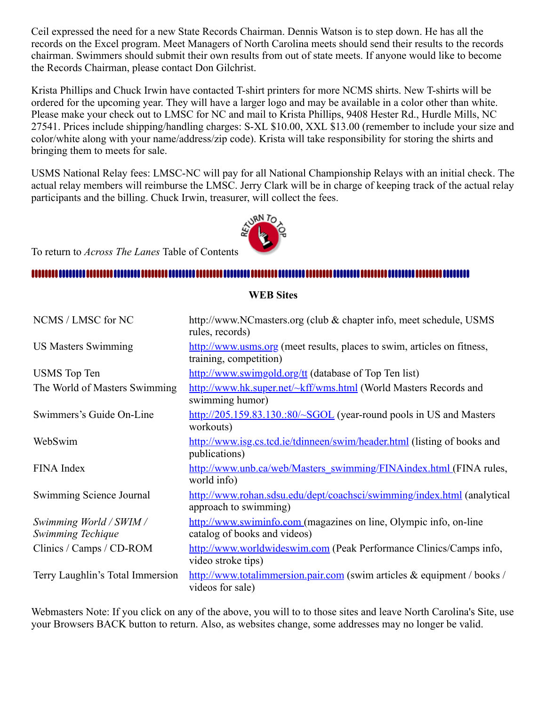Ceil expressed the need for a new State Records Chairman. Dennis Watson is to step down. He has all the records on the Excel program. Meet Managers of North Carolina meets should send their results to the records chairman. Swimmers should submit their own results from out of state meets. If anyone would like to become the Records Chairman, please contact Don Gilchrist.

Krista Phillips and Chuck Irwin have contacted T-shirt printers for more NCMS shirts. New T-shirts will be ordered for the upcoming year. They will have a larger logo and may be available in a color other than white. Please make your check out to LMSC for NC and mail to Krista Phillips, 9408 Hester Rd., Hurdle Mills, NC 27541. Prices include shipping/handling charges: S-XL \$10.00, XXL \$13.00 (remember to include your size and color/white along with your name/address/zip code). Krista will take responsibility for storing the shirts and bringing them to meets for sale.

USMS National Relay fees: LMSC-NC will pay for all National Championship Relays with an initial check. The actual relay members will reimburse the LMSC. Jerry Clark will be in charge of keeping track of the actual relay participants and the billing. Chuck Irwin, treasurer, will collect the fees.



To return to *Across The Lanes* Table of Contents

#### 

#### NCMS / LMSC for NC http://www.NCmasters.org (club & chapter info, meet schedule, USMS rules, records) US Masters Swimming [http://www.usms.org](http://www.usms.org/) (meet results, places to swim, articles on fitness, training, competition) USMS Top Ten <http://www.swimgold.org/tt> (database of Top Ten list) The World of Masters Swimming <http://www.hk.super.net/~kff/wms.html>(World Masters Records and swimming humor) Swimmers's Guide On-Line [http://205.159.83.130.:80/~SGOL](http://205.159.83.130/~SGOL) (year-round pools in US and Masters workouts) WebSwim <http://www.isg.cs.tcd.ie/tdinneen/swim/header.html> (listing of books and publications) FINA Index [http://www.unb.ca/web/Masters\\_swimming/FINAindex.html \(](http://www.unb.ca/web/Masters_swimming/FINAindex.html)FINA rules, world info) Swimming Science Journal <http://www.rohan.sdsu.edu/dept/coachsci/swimming/index.html> (analytical approach to swimming) *Swimming World / SWIM / Swimming Techique* [http://www.swiminfo.com \(](http://www.swiminfo.com/)magazines on line, Olympic info, on-line catalog of books and videos) Clinics / Camps / CD-ROM [http://www.worldwideswim.com](http://www.worldwideswim.com/) (Peak Performance Clinics/Camps info, video stroke tips) Terry Laughlin's Total Immersion [http://www.totalimmersion.pair.com](http://www.totalimmersion.pair.com/) (swim articles & equipment / books /

<span id="page-4-0"></span>**WEB Sites**

Webmasters Note: If you click on any of the above, you will to to those sites and leave North Carolina's Site, use your Browsers BACK button to return. Also, as websites change, some addresses may no longer be valid.

videos for sale)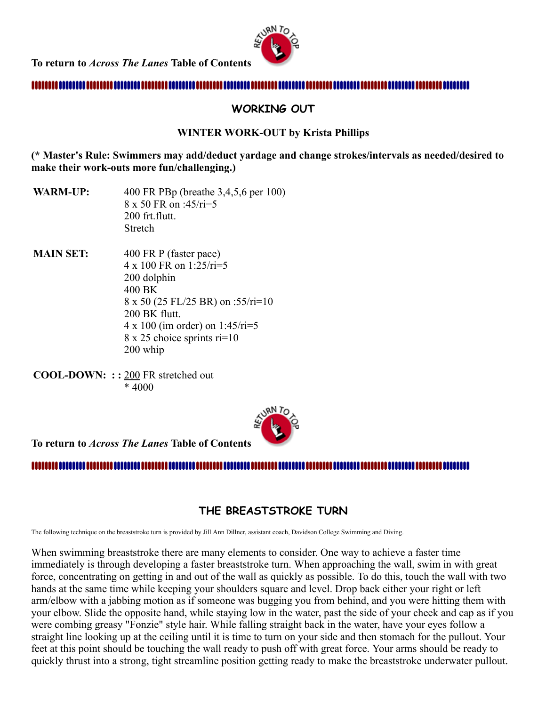**To return to** *Across The Lanes* **Table of Contents** 



#### 

#### **WORKING OUT**

#### **WINTER WORK-OUT by Krista Phillips**

**(\* Master's Rule: Swimmers may add/deduct yardage and change strokes/intervals as needed/desired to make their work-outs more fun/challenging.)**

**WARM-UP:** 400 FR PBp (breathe 3,4,5,6 per 100) 8 x 50 FR on :45/ri=5 200 frt.flutt. Stretch

**MAIN SET:** 400 FR P (faster pace) 4 x 100 FR on 1:25/ri=5 200 dolphin 400 BK 8 x 50 (25 FL/25 BR) on :55/ri=10 200 BK flutt. 4 x 100 (im order) on 1:45/ri=5 8 x 25 choice sprints ri=10 200 whip

**COOL-DOWN: : :** 200 FR stretched out \* 4000



#### 

#### <span id="page-5-0"></span>**THE BREASTSTROKE TURN**

The following technique on the breaststroke turn is provided by Jill Ann Dillner, assistant coach, Davidson College Swimming and Diving.

When swimming breaststroke there are many elements to consider. One way to achieve a faster time immediately is through developing a faster breaststroke turn. When approaching the wall, swim in with great force, concentrating on getting in and out of the wall as quickly as possible. To do this, touch the wall with two hands at the same time while keeping your shoulders square and level. Drop back either your right or left arm/elbow with a jabbing motion as if someone was bugging you from behind, and you were hitting them with your elbow. Slide the opposite hand, while staying low in the water, past the side of your cheek and cap as if you were combing greasy "Fonzie" style hair. While falling straight back in the water, have your eyes follow a straight line looking up at the ceiling until it is time to turn on your side and then stomach for the pullout. Your feet at this point should be touching the wall ready to push off with great force. Your arms should be ready to quickly thrust into a strong, tight streamline position getting ready to make the breaststroke underwater pullout.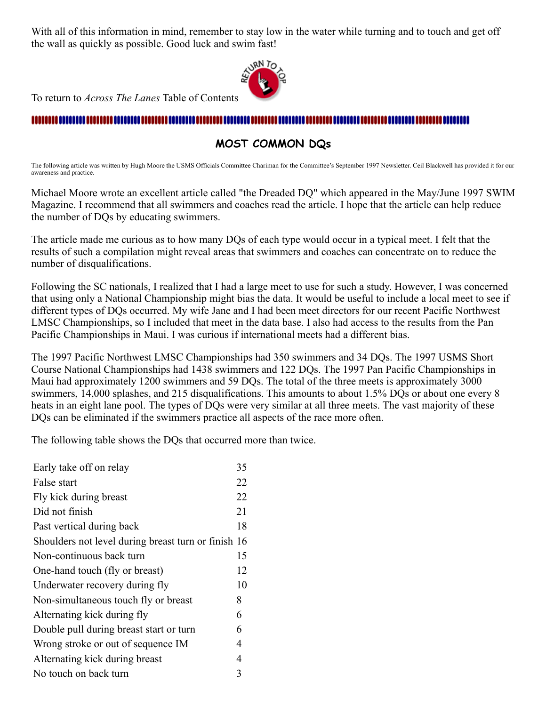With all of this information in mind, remember to stay low in the water while turning and to touch and get off the wall as quickly as possible. Good luck and swim fast!



To return to *Across The Lanes* Table of Contents

#### , ,,,,,,,,,,,,,,,,,,,

#### <span id="page-6-0"></span>**MOST COMMON DQs**

The following article was written by Hugh Moore the USMS Officials Committee Chariman for the Committee's September 1997 Newsletter. Ceil Blackwell has provided it for our awareness and practice.

Michael Moore wrote an excellent article called "the Dreaded DQ" which appeared in the May/June 1997 SWIM Magazine. I recommend that all swimmers and coaches read the article. I hope that the article can help reduce the number of DQs by educating swimmers.

The article made me curious as to how many DQs of each type would occur in a typical meet. I felt that the results of such a compilation might reveal areas that swimmers and coaches can concentrate on to reduce the number of disqualifications.

Following the SC nationals, I realized that I had a large meet to use for such a study. However, I was concerned that using only a National Championship might bias the data. It would be useful to include a local meet to see if different types of DQs occurred. My wife Jane and I had been meet directors for our recent Pacific Northwest LMSC Championships, so I included that meet in the data base. I also had access to the results from the Pan Pacific Championships in Maui. I was curious if international meets had a different bias.

The 1997 Pacific Northwest LMSC Championships had 350 swimmers and 34 DQs. The 1997 USMS Short Course National Championships had 1438 swimmers and 122 DQs. The 1997 Pan Pacific Championships in Maui had approximately 1200 swimmers and 59 DQs. The total of the three meets is approximately 3000 swimmers, 14,000 splashes, and 215 disqualifications. This amounts to about 1.5% DQs or about one every 8 heats in an eight lane pool. The types of DQs were very similar at all three meets. The vast majority of these DQs can be eliminated if the swimmers practice all aspects of the race more often.

The following table shows the DQs that occurred more than twice.

| Early take off on relay                             |    |  |
|-----------------------------------------------------|----|--|
| False start                                         |    |  |
| Fly kick during breast                              |    |  |
| Did not finish                                      | 21 |  |
| Past vertical during back                           | 18 |  |
| Shoulders not level during breast turn or finish 16 |    |  |
| Non-continuous back turn                            | 15 |  |
| One-hand touch (fly or breast)                      | 12 |  |
| Underwater recovery during fly                      | 10 |  |
| Non-simultaneous touch fly or breast                | 8  |  |
| Alternating kick during fly                         | 6  |  |
| Double pull during breast start or turn             | 6  |  |
| Wrong stroke or out of sequence IM                  | 4  |  |
| Alternating kick during breast                      | 4  |  |
| No touch on back turn                               |    |  |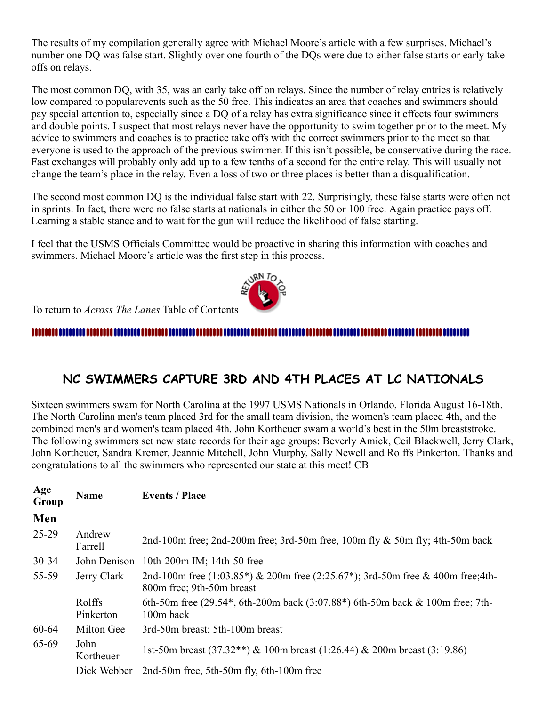The results of my compilation generally agree with Michael Moore's article with a few surprises. Michael's number one DQ was false start. Slightly over one fourth of the DQs were due to either false starts or early take offs on relays.

The most common DQ, with 35, was an early take off on relays. Since the number of relay entries is relatively low compared to popularevents such as the 50 free. This indicates an area that coaches and swimmers should pay special attention to, especially since a DQ of a relay has extra significance since it effects four swimmers and double points. I suspect that most relays never have the opportunity to swim together prior to the meet. My advice to swimmers and coaches is to practice take offs with the correct swimmers prior to the meet so that everyone is used to the approach of the previous swimmer. If this isn't possible, be conservative during the race. Fast exchanges will probably only add up to a few tenths of a second for the entire relay. This will usually not change the team's place in the relay. Even a loss of two or three places is better than a disqualification.

The second most common DQ is the individual false start with 22. Surprisingly, these false starts were often not in sprints. In fact, there were no false starts at nationals in either the 50 or 100 free. Again practice pays off. Learning a stable stance and to wait for the gun will reduce the likelihood of false starting.

I feel that the USMS Officials Committee would be proactive in sharing this information with coaches and swimmers. Michael Moore's article was the first step in this process.



To return to *Across The Lanes* Table of Contents

#### 

# <span id="page-7-0"></span>**NC SWIMMERS CAPTURE 3RD AND 4TH PLACES AT LC NATIONALS**

Sixteen swimmers swam for North Carolina at the 1997 USMS Nationals in Orlando, Florida August 16-18th. The North Carolina men's team placed 3rd for the small team division, the women's team placed 4th, and the combined men's and women's team placed 4th. John Kortheuer swam a world's best in the 50m breaststroke. The following swimmers set new state records for their age groups: Beverly Amick, Ceil Blackwell, Jerry Clark, John Kortheuer, Sandra Kremer, Jeannie Mitchell, John Murphy, Sally Newell and Rolffs Pinkerton. Thanks and congratulations to all the swimmers who represented our state at this meet! CB

| Age<br>Group | <b>Name</b>         | <b>Events / Place</b>                                                                                            |
|--------------|---------------------|------------------------------------------------------------------------------------------------------------------|
| Men          |                     |                                                                                                                  |
| 25-29        | Andrew<br>Farrell   | 2nd-100m free; 2nd-200m free; 3rd-50m free, 100m fly $\&$ 50m fly; 4th-50m back                                  |
| $30 - 34$    | John Denison        | 10th-200m IM; 14th-50 free                                                                                       |
| 55-59        | Jerry Clark         | 2nd-100m free $(1:03.85*)$ & 200m free $(2:25.67*)$ ; 3rd-50m free & 400m free;4th-<br>800m free; 9th-50m breast |
|              | Rolffs<br>Pinkerton | 6th-50m free $(29.54^*$ , 6th-200m back $(3.07.88^*)$ 6th-50m back & 100m free; 7th-<br>100m back                |
| 60-64        | Milton Gee          | 3rd-50m breast; 5th-100m breast                                                                                  |
| 65-69        | John<br>Kortheuer   | 1st-50m breast (37.32**) & 100m breast (1:26.44) & 200m breast (3:19.86)                                         |
|              | Dick Webber         | 2nd-50m free, 5th-50m fly, 6th-100m free                                                                         |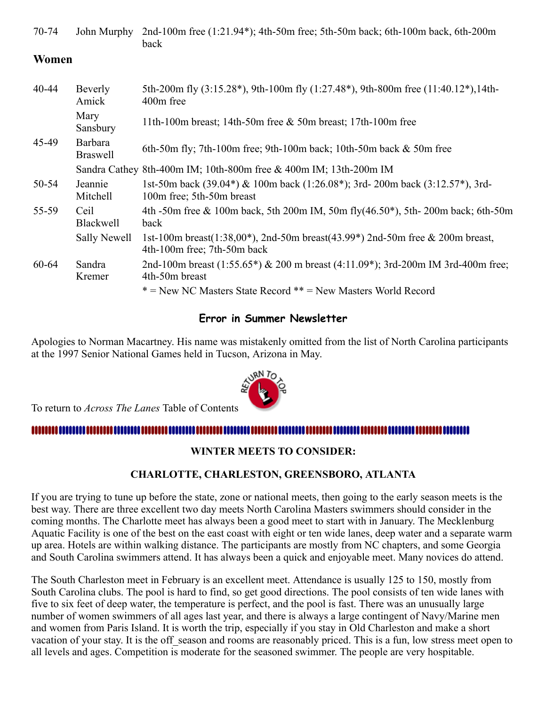70-74 John Murphy 2nd-100m free (1:21.94\*); 4th-50m free; 5th-50m back; 6th-100m back, 6th-200m back

#### **Women**

| $40 - 44$ | Beverly<br>Amick           | 5th-200m fly (3:15.28*), 9th-100m fly (1:27.48*), 9th-800m free (11:40.12*), 14th-<br>400m free              |
|-----------|----------------------------|--------------------------------------------------------------------------------------------------------------|
|           | Mary<br>Sansbury           | 11th-100m breast; 14th-50m free $&$ 50m breast; 17th-100m free                                               |
| 45-49     | Barbara<br><b>Braswell</b> | 6th-50m fly; 7th-100m free; 9th-100m back; 10th-50m back $&$ 50m free                                        |
|           |                            | Sandra Cathey 8th-400m IM; 10th-800m free & 400m IM; 13th-200m IM                                            |
| 50-54     | Jeannie<br>Mitchell        | 1st-50m back (39.04*) & 100m back (1:26.08*); 3rd-200m back (3:12.57*), 3rd-<br>100m free; 5th-50m breast    |
| 55-59     | Ceil<br>Blackwell          | 4th -50m free & 100m back, 5th 200m IM, 50m fly( $46.50^*$ ), 5th - 200m back; 6th -50m<br>back              |
|           | Sally Newell               | 1st-100m breast(1:38,00*), 2nd-50m breast(43.99*) 2nd-50m free & 200m breast,<br>4th-100m free; 7th-50m back |
| 60-64     | Sandra<br>Kremer           | 2nd-100m breast $(1:55.65*)$ & 200 m breast $(4:11.09*)$ ; 3rd-200m IM 3rd-400m free;<br>4th-50m breast      |
|           |                            | * = New NC Masters State Record ** = New Masters World Record                                                |

#### **Error in Summer Newsletter**

Apologies to Norman Macartney. His name was mistakenly omitted from the list of North Carolina participants at the 1997 Senior National Games held in Tucson, Arizona in May.



To return to *Across The Lanes* Table of Contents

#### 

#### <span id="page-8-0"></span>**WINTER MEETS TO CONSIDER:**

#### **CHARLOTTE, CHARLESTON, GREENSBORO, ATLANTA**

If you are trying to tune up before the state, zone or national meets, then going to the early season meets is the best way. There are three excellent two day meets North Carolina Masters swimmers should consider in the coming months. The Charlotte meet has always been a good meet to start with in January. The Mecklenburg Aquatic Facility is one of the best on the east coast with eight or ten wide lanes, deep water and a separate warm up area. Hotels are within walking distance. The participants are mostly from NC chapters, and some Georgia and South Carolina swimmers attend. It has always been a quick and enjoyable meet. Many novices do attend.

The South Charleston meet in February is an excellent meet. Attendance is usually 125 to 150, mostly from South Carolina clubs. The pool is hard to find, so get good directions. The pool consists of ten wide lanes with five to six feet of deep water, the temperature is perfect, and the pool is fast. There was an unusually large number of women swimmers of all ages last year, and there is always a large contingent of Navy/Marine men and women from Paris Island. It is worth the trip, especially if you stay in Old Charleston and make a short vacation of your stay. It is the off season and rooms are reasonably priced. This is a fun, low stress meet open to all levels and ages. Competition is moderate for the seasoned swimmer. The people are very hospitable.